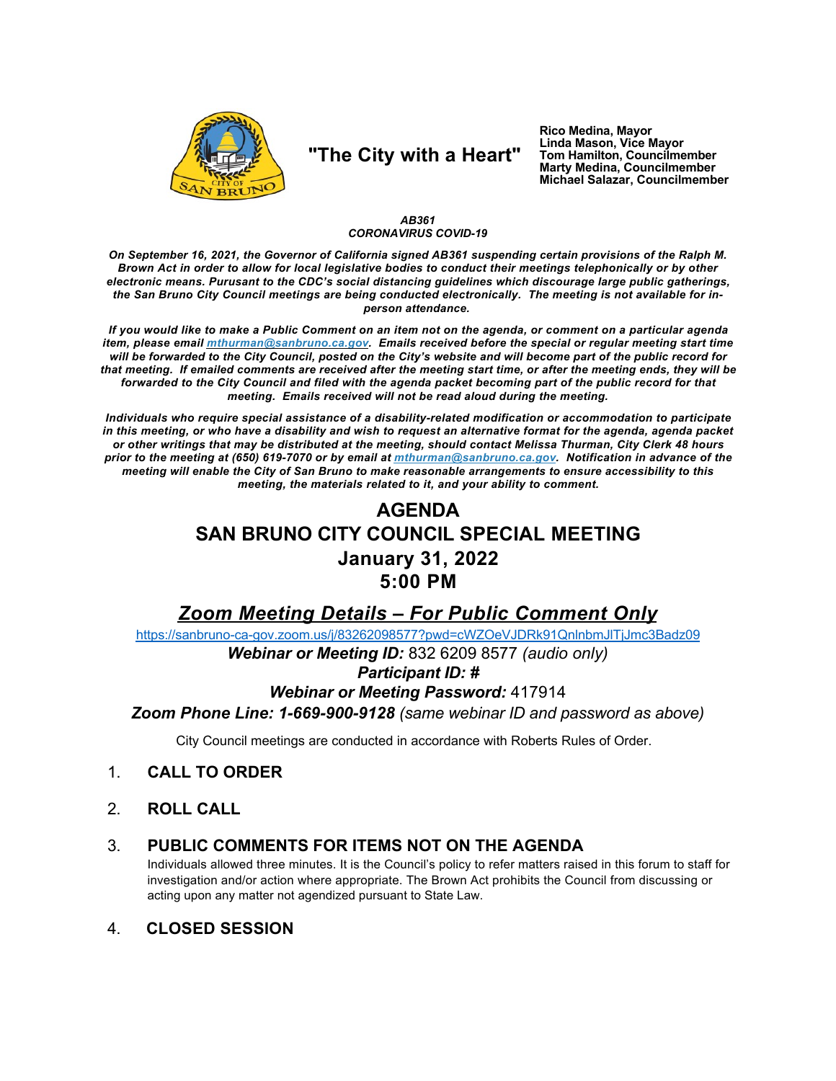

## "The City with a Heart"

Rico Medina, Mayor Linda Mason, Vice Mayor Tom Hamilton, Councilmember<br>Marty Medina, Councilmember Michael Salazar, Councilmember

### AB361 **CORONAVIRUS COVID-19**

On September 16, 2021, the Governor of California signed AB361 suspending certain provisions of the Ralph M. Brown Act in order to allow for local legislative bodies to conduct their meetings telephonically or by other electronic means. Purusant to the CDC's social distancing guidelines which discourage large public gatherings. the San Bruno City Council meetings are being conducted electronically. The meeting is not available for inperson attendance.

If you would like to make a Public Comment on an item not on the agenda, or comment on a particular agenda item, please email *mthurman@sanbruno.ca.gov.* Emails received before the special or regular meeting start time will be forwarded to the City Council, posted on the City's website and will become part of the public record for that meeting. If emailed comments are received after the meeting start time, or after the meeting ends, they will be forwarded to the City Council and filed with the agenda packet becoming part of the public record for that meeting. Emails received will not be read aloud during the meeting.

Individuals who require special assistance of a disability-related modification or accommodation to participate in this meeting, or who have a disability and wish to request an alternative format for the agenda, agenda packet or other writings that may be distributed at the meeting, should contact Melissa Thurman, City Clerk 48 hours prior to the meeting at (650) 619-7070 or by email at mthurman@sanbruno.ca.gov. Notification in advance of the meeting will enable the City of San Bruno to make reasonable arrangements to ensure accessibility to this meeting, the materials related to it, and your ability to comment.

# **AGENDA** SAN BRUNO CITY COUNCIL SPECIAL MEETING **January 31, 2022** 5:00 PM

## Zoom Meeting Details - For Public Comment Only

https://sanbruno-ca-gov.zoom.us/j/83262098577?pwd=cWZOeVJDRk91QnlnbmJlTjJmc3Badz09

Webinar or Meeting ID: 832 6209 8577 (audio only)

### **Participant ID: #**

### **Webinar or Meeting Password: 417914**

Zoom Phone Line: 1-669-900-9128 (same webinar ID and password as above)

City Council meetings are conducted in accordance with Roberts Rules of Order.

#### $\mathbf{1}$ **CALL TO ORDER**

 $2<sup>1</sup>$ **ROLL CALL** 

#### PUBLIC COMMENTS FOR ITEMS NOT ON THE AGENDA  $3_{-}$

Individuals allowed three minutes. It is the Council's policy to refer matters raised in this forum to staff for investigation and/or action where appropriate. The Brown Act prohibits the Council from discussing or acting upon any matter not agendized pursuant to State Law.

#### $\mathbf{4}$ **CLOSED SESSION**